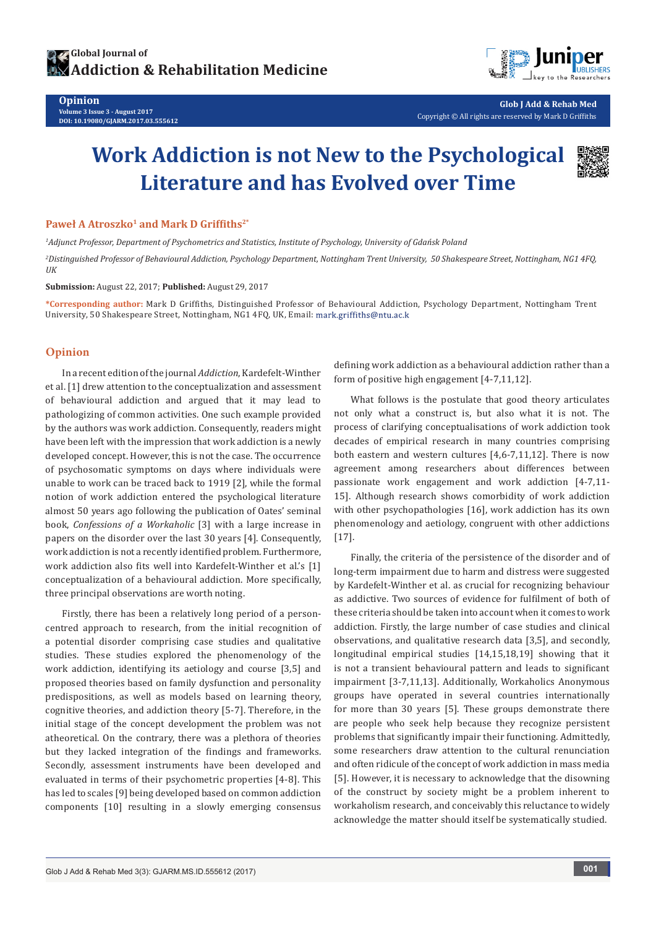

**Glob J Add & Rehab Med** Copyright © All rights are reserved by Mark D Griffiths

# **Work Addiction is not New to the Psychological Literature and has Evolved over Time**



#### **Paweł A Atroszko<sup>1</sup> and Mark D Griffiths2\***

*1 Adjunct Professor, Department of Psychometrics and Statistics, Institute of Psychology, University of Gdańsk Poland*

*2 Distinguished Professor of Behavioural Addiction, Psychology Department, Nottingham Trent University, 50 Shakespeare Street, Nottingham, NG1 4FQ, UK*

**Submission:** August 22, 2017; **Published:** August 29, 2017

**\*Corresponding author:** Mark D Griffiths, Distinguished Professor of Behavioural Addiction, Psychology Department, Nottingham Trent University, 50 Shakespeare Street, Nottingham, NG1 4FQ, UK, Email:

#### **Opinion**

**Opinion**

**Volume 3 Issue 3 - August 2017 DOI: [10.19080/GJARM.2017.03.555612](http://dx.doi.org/10.19080/GJARM.2017.03.555612)**

In a recent edition of the journal *Addiction*, Kardefelt-Winther et al. [1] drew attention to the conceptualization and assessment of behavioural addiction and argued that it may lead to pathologizing of common activities. One such example provided by the authors was work addiction. Consequently, readers might have been left with the impression that work addiction is a newly developed concept. However, this is not the case. The occurrence of psychosomatic symptoms on days where individuals were unable to work can be traced back to 1919 [2], while the formal notion of work addiction entered the psychological literature almost 50 years ago following the publication of Oates' seminal book, *Confessions of a Workaholic* [3] with a large increase in papers on the disorder over the last 30 years [4]. Consequently, work addiction is not a recently identified problem. Furthermore, work addiction also fits well into Kardefelt-Winther et al.'s [1] conceptualization of a behavioural addiction. More specifically, three principal observations are worth noting.

Firstly, there has been a relatively long period of a personcentred approach to research, from the initial recognition of a potential disorder comprising case studies and qualitative studies. These studies explored the phenomenology of the work addiction, identifying its aetiology and course [3,5] and proposed theories based on family dysfunction and personality predispositions, as well as models based on learning theory, cognitive theories, and addiction theory [5-7]. Therefore, in the initial stage of the concept development the problem was not atheoretical. On the contrary, there was a plethora of theories but they lacked integration of the findings and frameworks. Secondly, assessment instruments have been developed and evaluated in terms of their psychometric properties [4-8]. This has led to scales [9] being developed based on common addiction components [10] resulting in a slowly emerging consensus defining work addiction as a behavioural addiction rather than a form of positive high engagement [4-7,11,12].

What follows is the postulate that good theory articulates not only what a construct is, but also what it is not. The process of clarifying conceptualisations of work addiction took decades of empirical research in many countries comprising both eastern and western cultures [4,6-7,11,12]. There is now agreement among researchers about differences between passionate work engagement and work addiction [4-7,11- 15]. Although research shows comorbidity of work addiction with other psychopathologies [16], work addiction has its own phenomenology and aetiology, congruent with other addictions [17].

Finally, the criteria of the persistence of the disorder and of long-term impairment due to harm and distress were suggested by Kardefelt-Winther et al. as crucial for recognizing behaviour as addictive. Two sources of evidence for fulfilment of both of these criteria should be taken into account when it comes to work addiction. Firstly, the large number of case studies and clinical observations, and qualitative research data [3,5], and secondly, longitudinal empirical studies [14,15,18,19] showing that it is not a transient behavioural pattern and leads to significant impairment [3-7,11,13]. Additionally, Workaholics Anonymous groups have operated in several countries internationally for more than 30 years [5]. These groups demonstrate there are people who seek help because they recognize persistent problems that significantly impair their functioning. Admittedly, some researchers draw attention to the cultural renunciation and often ridicule of the concept of work addiction in mass media [5]. However, it is necessary to acknowledge that the disowning of the construct by society might be a problem inherent to workaholism research, and conceivably this reluctance to widely acknowledge the matter should itself be systematically studied.